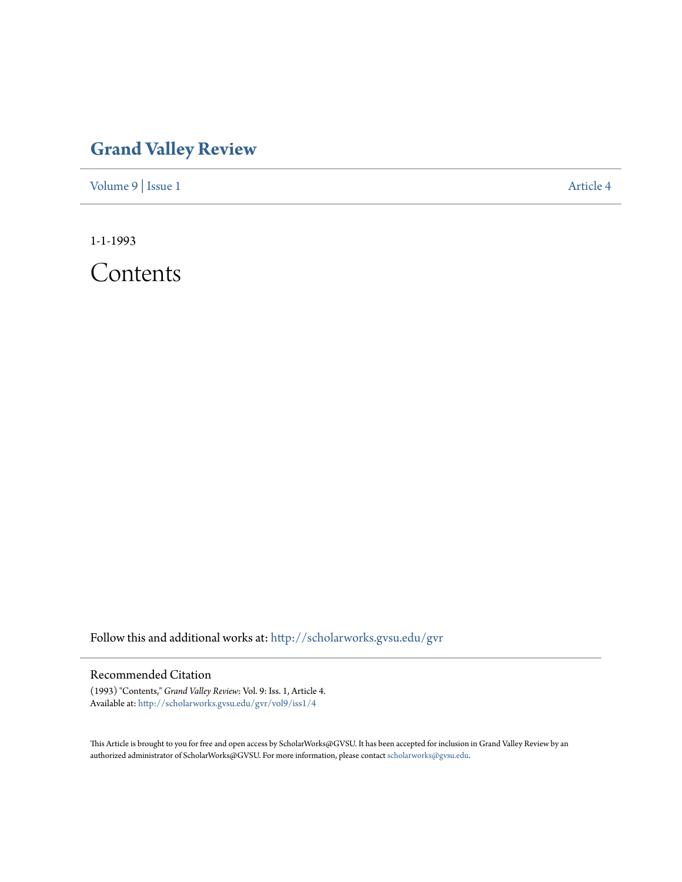## **[Grand Valley Review](http://scholarworks.gvsu.edu/gvr?utm_source=scholarworks.gvsu.edu%2Fgvr%2Fvol9%2Fiss1%2F4&utm_medium=PDF&utm_campaign=PDFCoverPages)**

[Volume 9](http://scholarworks.gvsu.edu/gvr/vol9?utm_source=scholarworks.gvsu.edu%2Fgvr%2Fvol9%2Fiss1%2F4&utm_medium=PDF&utm_campaign=PDFCoverPages) | [Issue 1](http://scholarworks.gvsu.edu/gvr/vol9/iss1?utm_source=scholarworks.gvsu.edu%2Fgvr%2Fvol9%2Fiss1%2F4&utm_medium=PDF&utm_campaign=PDFCoverPages) [Article 4](http://scholarworks.gvsu.edu/gvr/vol9/iss1/4?utm_source=scholarworks.gvsu.edu%2Fgvr%2Fvol9%2Fiss1%2F4&utm_medium=PDF&utm_campaign=PDFCoverPages)

1-1-1993

Contents

Follow this and additional works at: [http://scholarworks.gvsu.edu/gvr](http://scholarworks.gvsu.edu/gvr?utm_source=scholarworks.gvsu.edu%2Fgvr%2Fvol9%2Fiss1%2F4&utm_medium=PDF&utm_campaign=PDFCoverPages)

## Recommended Citation

(1993) "Contents," *Grand Valley Review*: Vol. 9: Iss. 1, Article 4. Available at: [http://scholarworks.gvsu.edu/gvr/vol9/iss1/4](http://scholarworks.gvsu.edu/gvr/vol9/iss1/4?utm_source=scholarworks.gvsu.edu%2Fgvr%2Fvol9%2Fiss1%2F4&utm_medium=PDF&utm_campaign=PDFCoverPages)

This Article is brought to you for free and open access by ScholarWorks@GVSU. It has been accepted for inclusion in Grand Valley Review by an authorized administrator of ScholarWorks@GVSU. For more information, please contact [scholarworks@gvsu.edu.](mailto:scholarworks@gvsu.edu)